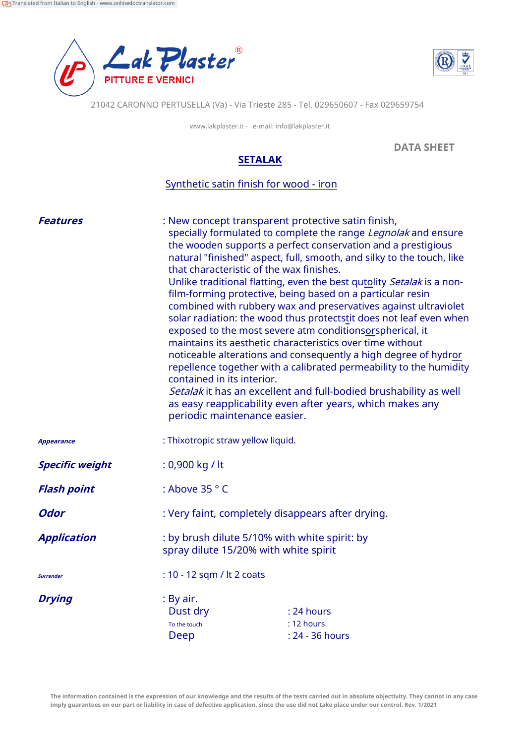



21042 CARONNO PERTUSELLA (Va) - Via Trieste 285 - Tel. 029650607 - Fax 029659754

www.lakplaster.it - e-mail: info@lakplaster.it

**DATA SHEET**

## **SETALAK**

## Synthetic satin finish for wood - iron

| <b>Features</b>        | : New concept transparent protective satin finish,<br>specially formulated to complete the range Legnolak and ensure<br>the wooden supports a perfect conservation and a prestigious<br>natural "finished" aspect, full, smooth, and silky to the touch, like<br>that characteristic of the wax finishes.<br>Unlike traditional flatting, even the best qutolity Setalak is a non-<br>film-forming protective, being based on a particular resin<br>combined with rubbery wax and preservatives against ultraviolet<br>solar radiation: the wood thus protectstit does not leaf even when<br>exposed to the most severe atm conditionsorspherical, it<br>maintains its aesthetic characteristics over time without<br>noticeable alterations and consequently a high degree of hydror<br>repellence together with a calibrated permeability to the humidity<br>contained in its interior.<br>Setalak it has an excellent and full-bodied brushability as well<br>as easy reapplicability even after years, which makes any<br>periodic maintenance easier. |                                             |
|------------------------|------------------------------------------------------------------------------------------------------------------------------------------------------------------------------------------------------------------------------------------------------------------------------------------------------------------------------------------------------------------------------------------------------------------------------------------------------------------------------------------------------------------------------------------------------------------------------------------------------------------------------------------------------------------------------------------------------------------------------------------------------------------------------------------------------------------------------------------------------------------------------------------------------------------------------------------------------------------------------------------------------------------------------------------------------------|---------------------------------------------|
| <b>Appearance</b>      | : Thixotropic straw yellow liquid.                                                                                                                                                                                                                                                                                                                                                                                                                                                                                                                                                                                                                                                                                                                                                                                                                                                                                                                                                                                                                         |                                             |
| <b>Specific weight</b> | : 0,900 kg / lt                                                                                                                                                                                                                                                                                                                                                                                                                                                                                                                                                                                                                                                                                                                                                                                                                                                                                                                                                                                                                                            |                                             |
| <b>Flash point</b>     | : Above 35 ° C                                                                                                                                                                                                                                                                                                                                                                                                                                                                                                                                                                                                                                                                                                                                                                                                                                                                                                                                                                                                                                             |                                             |
| <b>Odor</b>            | : Very faint, completely disappears after drying.                                                                                                                                                                                                                                                                                                                                                                                                                                                                                                                                                                                                                                                                                                                                                                                                                                                                                                                                                                                                          |                                             |
| <b>Application</b>     | : by brush dilute 5/10% with white spirit: by<br>spray dilute 15/20% with white spirit                                                                                                                                                                                                                                                                                                                                                                                                                                                                                                                                                                                                                                                                                                                                                                                                                                                                                                                                                                     |                                             |
| <b>Surrender</b>       | : 10 - 12 sqm / lt 2 coats                                                                                                                                                                                                                                                                                                                                                                                                                                                                                                                                                                                                                                                                                                                                                                                                                                                                                                                                                                                                                                 |                                             |
| <b>Drying</b>          | : By air.<br>Dust dry<br>To the touch<br>Deep                                                                                                                                                                                                                                                                                                                                                                                                                                                                                                                                                                                                                                                                                                                                                                                                                                                                                                                                                                                                              | : 24 hours<br>: 12 hours<br>: 24 - 36 hours |

**The information contained is the expression of our knowledge and the results of the tests carried out in absolute objectivity. They cannot in any case imply guarantees on our part or liability in case of defective application, since the use did not take place under our control. Rev. 1/2021**